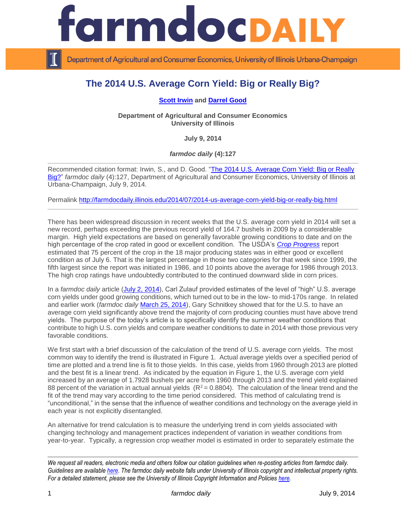

Department of Agricultural and Consumer Economics, University of Illinois Urbana-Champaign

# **The 2014 U.S. Average Corn Yield: Big or Really Big?**

#### **[Scott Irwin](http://farmdoc.illinois.edu/irwin/) and [Darrel Good](http://farmdoc.illinois.edu/good/)**

**Department of Agricultural and Consumer Economics University of Illinois**

**July 9, 2014**

*farmdoc daily* **(4):127**

Recommended citation format: Irwin, S., and D. Good. ["The 2014 U.S. Average Corn Yield: Big or Really](http://farmdocdaily.illinois.edu/2014/07/2014-us-average-corn-yield-big-or-really-big.html)  [Big?"](http://farmdocdaily.illinois.edu/2014/07/2014-us-average-corn-yield-big-or-really-big.html) *farmdoc daily* (4):127, Department of Agricultural and Consumer Economics, University of Illinois at Urbana-Champaign, July 9, 2014.

Permalink<http://farmdocdaily.illinois.edu/2014/07/2014-us-average-corn-yield-big-or-really-big.html>

There has been widespread discussion in recent weeks that the U.S. average corn yield in 2014 will set a new record, perhaps exceeding the previous record yield of 164.7 bushels in 2009 by a considerable margin. High yield expectations are based on generally favorable growing conditions to date and on the high percentage of the crop rated in good or excellent condition. The USDA's *[Crop Progress](http://usda.mannlib.cornell.edu/usda/nass/CropProg/2010s/2014/CropProg-07-07-2014.pdf)* report estimated that 75 percent of the crop in the 18 major producing states was in either good or excellent condition as of July 6. That is the largest percentage in those two categories for that week since 1999, the fifth largest since the report was initiated in 1986, and 10 points above the average for 1986 through 2013. The high crop ratings have undoubtedly contributed to the continued downward slide in corn prices.

In a *farmdoc daily* article [\(July 2, 2014\)](http://farmdocdaily.illinois.edu/2014/07/perspective-on-high-yield-2014-us-corn-and-soybeans.html), Carl Zulauf provided estimates of the level of "high" U.S. average corn yields under good growing conditions, which turned out to be in the low- to mid-170s range. In related and earlier work (*farmdoc daily* [March 25, 2014\)](http://farmdocdaily.illinois.edu/2014/03/causes-high-us-corn-yields.html), Gary Schnitkey showed that for the U.S. to have an average corn yield significantly above trend the majority of corn producing counties must have above trend yields. The purpose of the today's article is to specifically identify the summer weather conditions that contribute to high U.S. corn yields and compare weather conditions to date in 2014 with those previous very favorable conditions.

We first start with a brief discussion of the calculation of the trend of U.S. average corn yields. The most common way to identify the trend is illustrated in Figure 1. Actual average yields over a specified period of time are plotted and a trend line is fit to those yields. In this case, yields from 1960 through 2013 are plotted and the best fit is a linear trend. As indicated by the equation in Figure 1, the U.S. average corn yield increased by an average of 1.7928 bushels per acre from 1960 through 2013 and the trend yield explained 88 percent of the variation in actual annual yields  $(R^2 = 0.8804)$ . The calculation of the linear trend and the fit of the trend may vary according to the time period considered. This method of calculating trend is "unconditional," in the sense that the influence of weather conditions and technology on the average yield in each year is not explicitly disentangled.

An alternative for trend calculation is to measure the underlying trend in corn yields associated with changing technology and management practices independent of variation in weather conditions from year-to-year. Typically, a regression crop weather model is estimated in order to separately estimate the

*We request all readers, electronic media and others follow our citation guidelines when re-posting articles from farmdoc daily. Guidelines are available [here.](http://farmdocdaily.illinois.edu/citationguide.html) The farmdoc daily website falls under University of Illinois copyright and intellectual property rights. For a detailed statement, please see the University of Illinois Copyright Information and Policies [here.](http://www.cio.illinois.edu/policies/copyright/)*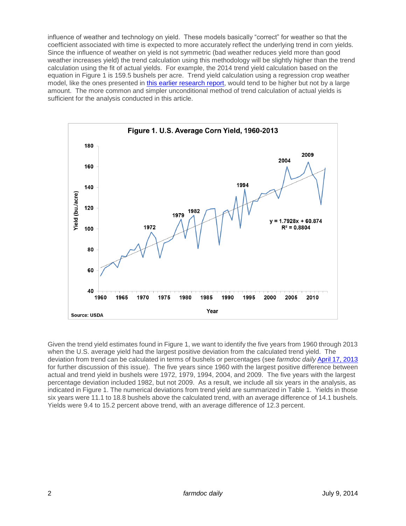influence of weather and technology on yield. These models basically "correct" for weather so that the coefficient associated with time is expected to more accurately reflect the underlying trend in corn yields. Since the influence of weather on yield is not symmetric (bad weather reduces yield more than good weather increases yield) the trend calculation using this methodology will be slightly higher than the trend calculation using the fit of actual yields. For example, the 2014 trend yield calculation based on the equation in Figure 1 is 159.5 bushels per acre. Trend yield calculation using a regression crop weather model, like the ones presented in [this earlier research report,](http://www.farmdoc.illinois.edu/marketing/morr/morr_08-01/morr_08-01.pdf) would tend to be higher but not by a large amount. The more common and simpler unconditional method of trend calculation of actual yields is sufficient for the analysis conducted in this article.



Given the trend yield estimates found in Figure 1, we want to identify the five years from 1960 through 2013 when the U.S. average yield had the largest positive deviation from the calculated trend yield. The deviation from trend can be calculated in terms of bushels or percentages (see *farmdoc daily* [April 17, 2013](http://farmdocdaily.illinois.edu/2013/04/2012-really-big-one-corn-yields.html) for further discussion of this issue). The five years since 1960 with the largest positive difference between actual and trend yield in bushels were 1972, 1979, 1994, 2004, and 2009. The five years with the largest percentage deviation included 1982, but not 2009. As a result, we include all six years in the analysis, as indicated in Figure 1. The numerical deviations from trend yield are summarized in Table 1. Yields in those six years were 11.1 to 18.8 bushels above the calculated trend, with an average difference of 14.1 bushels. Yields were 9.4 to 15.2 percent above trend, with an average difference of 12.3 percent.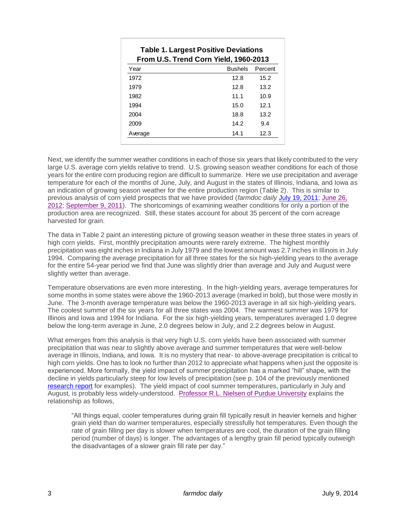| <b>Table 1. Largest Positive Deviations</b><br>From U.S. Trend Corn Yield, 1960-2013 |                |         |  |  |  |
|--------------------------------------------------------------------------------------|----------------|---------|--|--|--|
| Year                                                                                 | <b>Bushels</b> | Percent |  |  |  |
| 1972                                                                                 | 12.8           | 15.2    |  |  |  |
| 1979                                                                                 | 12.8           | 13.2    |  |  |  |
| 1982                                                                                 | 11.1           | 10.9    |  |  |  |
| 1994                                                                                 | 15.0           | 12.1    |  |  |  |
| 2004                                                                                 | 18.8           | 13.2    |  |  |  |
| 2009                                                                                 | 14.2           | 9.4     |  |  |  |
| Average                                                                              | 14.1           | 12.3    |  |  |  |

Next, we identify the summer weather conditions in each of those six years that likely contributed to the very large U.S. average corn yields relative to trend. U.S. growing season weather conditions for each of those years for the entire corn producing region are difficult to summarize. Here we use precipitation and average temperature for each of the months of June, July, and August in the states of Illinois, Indiana, and Iowa as an indication of growing season weather for the entire production region (Table 2). This is similar to previous analysis of corn yield prospects that we have provided (*farmdoc daily* [July 19, 2011;](http://farmdocdaily.illinois.edu/2011/07/hot-july-weather-and-corn-yiel-1.html) [June 26,](http://farmdocdaily.illinois.edu/2012/06/where-should-we-be-now-with-co.html)  [2012;](http://farmdocdaily.illinois.edu/2012/06/where-should-we-be-now-with-co.html) [September 9, 2011\)](http://farmdocdaily.illinois.edu/2011/09/2011-us-corn-and-soybean-yield-1.html). The shortcomings of examining weather conditions for only a portion of the production area are recognized. Still, these states account for about 35 percent of the corn acreage harvested for grain.

The data in Table 2 paint an interesting picture of growing season weather in these three states in years of high corn yields. First, monthly precipitation amounts were rarely extreme. The highest monthly precipitation was eight inches in Indiana in July 1979 and the lowest amount was 2.7 inches in Illinois in July 1994. Comparing the average precipitation for all three states for the six high-yielding years to the average for the entire 54-year period we find that June was slightly drier than average and July and August were slightly wetter than average.

Temperature observations are even more interesting. In the high-yielding years, average temperatures for some months in some states were above the 1960-2013 average (marked in bold), but those were mostly in June. The 3-month average temperature was below the 1960-2013 average in all six high-yielding years. The coolest summer of the six years for all three states was 2004. The warmest summer was 1979 for Illinois and Iowa and 1994 for Indiana. For the six high-yielding years, temperatures averaged 1.0 degree below the long-term average in June, 2.0 degrees below in July, and 2.2 degrees below in August.

What emerges from this analysis is that very high U.S. corn yields have been associated with summer precipitation that was near to slightly above average and summer temperatures that were well-below average in Illinois, Indiana, and Iowa. It is no mystery that near- to above-average precipitation is critical to high corn yields. One has to look no further than 2012 to appreciate what happens when just the opposite is experienced. More formally, the yield impact of summer precipitation has a marked "hill" shape, with the decline in yields particularly steep for low levels of precipitation (see p. 104 of the previously mentioned [research report](http://www.farmdoc.illinois.edu/marketing/morr/morr_08-01/morr_08-01.pdf) for examples). The yield impact of cool summer temperatures, particularly in July and August, is probably less widely-understood. [Professor R.L. Nielsen of Purdue University](http://www.agry.purdue.edu/ext/corn/news/articles.13/CoolGrainFill-0815.html) explains the relationship as follows,

"All things equal, cooler temperatures during grain fill typically result in heavier kernels and higher grain yield than do warmer temperatures, especially stressfully hot temperatures. Even though the rate of grain filling per day is slower when temperatures are cool, the duration of the grain filling period (number of days) is longer. The advantages of a lengthy grain fill period typically outweigh the disadvantages of a slower grain fill rate per day."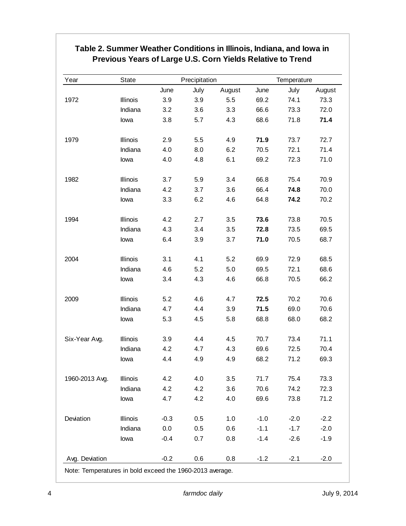## **Table 2. Summer Weather Conditions in Illinois, Indiana, and Iowa in Previous Years of Large U.S. Corn Yields Relative to Trend**

| Year           | State    |        | Precipitation |         |        | Temperature |        |
|----------------|----------|--------|---------------|---------|--------|-------------|--------|
|                |          | June   | July          | August  | June   | July        | August |
| 1972           | Illinois | 3.9    | 3.9           | 5.5     | 69.2   | 74.1        | 73.3   |
|                | Indiana  | 3.2    | 3.6           | 3.3     | 66.6   | 73.3        | 72.0   |
|                | lowa     | 3.8    | 5.7           | 4.3     | 68.6   | 71.8        | 71.4   |
| 1979           | Illinois | 2.9    | 5.5           | 4.9     | 71.9   | 73.7        | 72.7   |
|                | Indiana  | 4.0    | 8.0           | 6.2     | 70.5   | 72.1        | 71.4   |
|                | lowa     | 4.0    | 4.8           | 6.1     | 69.2   | 72.3        | 71.0   |
| 1982           | Illinois | 3.7    | 5.9           | 3.4     | 66.8   | 75.4        | 70.9   |
|                | Indiana  | 4.2    | 3.7           | 3.6     | 66.4   | 74.8        | 70.0   |
|                | lowa     | 3.3    | 6.2           | 4.6     | 64.8   | 74.2        | 70.2   |
| 1994           | Illinois | 4.2    | 2.7           | 3.5     | 73.6   | 73.8        | 70.5   |
|                | Indiana  | 4.3    | 3.4           | 3.5     | 72.8   | 73.5        | 69.5   |
|                | lowa     | 6.4    | 3.9           | 3.7     | 71.0   | 70.5        | 68.7   |
| 2004           | Illinois | 3.1    | 4.1           | 5.2     | 69.9   | 72.9        | 68.5   |
|                | Indiana  | 4.6    | 5.2           | 5.0     | 69.5   | 72.1        | 68.6   |
|                | lowa     | 3.4    | 4.3           | 4.6     | 66.8   | 70.5        | 66.2   |
| 2009           | Illinois | 5.2    | 4.6           | 4.7     | 72.5   | 70.2        | 70.6   |
|                | Indiana  | 4.7    | 4.4           | 3.9     | 71.5   | 69.0        | 70.6   |
|                | lowa     | 5.3    | 4.5           | 5.8     | 68.8   | 68.0        | 68.2   |
| Six-Year Avg.  | Illinois | 3.9    | 4.4           | 4.5     | 70.7   | 73.4        | 71.1   |
|                | Indiana  | 4.2    | 4.7           | 4.3     | 69.6   | 72.5        | 70.4   |
|                | lowa     | 4.4    | 4.9           | 4.9     | 68.2   | 71.2        | 69.3   |
| 1960-2013 Avg. | Illinois | 4.2    | 4.0           | $3.5\,$ | 71.7   | 75.4        | 73.3   |
|                | Indiana  | 4.2    | 4.2           | 3.6     | 70.6   | 74.2        | 72.3   |
|                | lowa     | 4.7    | 4.2           | 4.0     | 69.6   | 73.8        | 71.2   |
| Deviation      | Illinois | $-0.3$ | 0.5           | 1.0     | $-1.0$ | $-2.0$      | $-2.2$ |
|                | Indiana  | 0.0    | 0.5           | 0.6     | $-1.1$ | $-1.7$      | $-2.0$ |
|                | lowa     | $-0.4$ | 0.7           | 0.8     | $-1.4$ | $-2.6$      | $-1.9$ |
| Avg. Deviation |          | $-0.2$ | 0.6           | 0.8     | $-1.2$ | $-2.1$      | $-2.0$ |

Note: Temperatures in bold exceed the 1960-2013 average.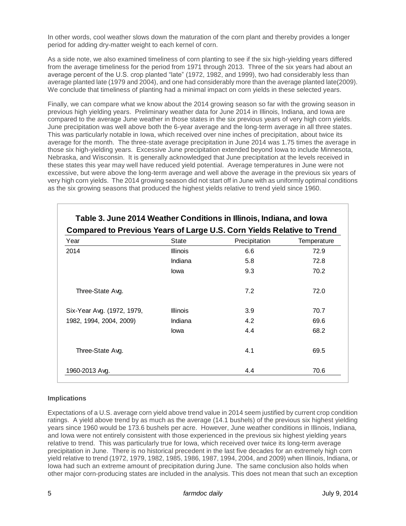In other words, cool weather slows down the maturation of the corn plant and thereby provides a longer period for adding dry-matter weight to each kernel of corn.

As a side note, we also examined timeliness of corn planting to see if the six high-yielding years differed from the average timeliness for the period from 1971 through 2013. Three of the six years had about an average percent of the U.S. crop planted "late" (1972, 1982, and 1999), two had considerably less than average planted late (1979 and 2004), and one had considerably more than the average planted late(2009). We conclude that timeliness of planting had a minimal impact on corn yields in these selected years.

Finally, we can compare what we know about the 2014 growing season so far with the growing season in previous high yielding years. Preliminary weather data for June 2014 in Illinois, Indiana, and Iowa are compared to the average June weather in those states in the six previous years of very high corn yields. June precipitation was well above both the 6-year average and the long-term average in all three states. This was particularly notable in Iowa, which received over nine inches of precipitation, about twice its average for the month. The three-state average precipitation in June 2014 was 1.75 times the average in those six high-yielding years. Excessive June precipitation extended beyond Iowa to include Minnesota, Nebraska, and Wisconsin. It is generally acknowledged that June precipitation at the levels received in these states this year may well have reduced yield potential. Average temperatures in June were not excessive, but were above the long-term average and well above the average in the previous six years of very high corn yields. The 2014 growing season did not start off in June with as uniformly optimal conditions as the six growing seasons that produced the highest yields relative to trend yield since 1960.

| State           | Precipitation | Temperature |  |
|-----------------|---------------|-------------|--|
| <b>Illinois</b> | 6.6           | 72.9        |  |
| Indiana         | 5.8           | 72.8        |  |
| lowa            | 9.3           | 70.2        |  |
|                 | 7.2           | 72.0        |  |
| <b>Illinois</b> | 3.9           | 70.7        |  |
| Indiana         | 4.2           | 69.6        |  |
| lowa            | 4.4           | 68.2        |  |
|                 | 4.1           | 69.5        |  |
|                 |               | 70.6        |  |
|                 |               | 4.4         |  |

### **Implications**

Expectations of a U.S. average corn yield above trend value in 2014 seem justified by current crop condition ratings. A yield above trend by as much as the average (14.1 bushels) of the previous six highest yielding years since 1960 would be 173.6 bushels per acre. However, June weather conditions in Illinois, Indiana, and Iowa were not entirely consistent with those experienced in the previous six highest yielding years relative to trend. This was particularly true for Iowa, which received over twice its long-term average precipitation in June. There is no historical precedent in the last five decades for an extremely high corn yield relative to trend (1972, 1979, 1982, 1985, 1986, 1987, 1994, 2004, and 2009) when Illinois, Indiana, or Iowa had such an extreme amount of precipitation during June. The same conclusion also holds when other major corn-producing states are included in the analysis. This does not mean that such an exception